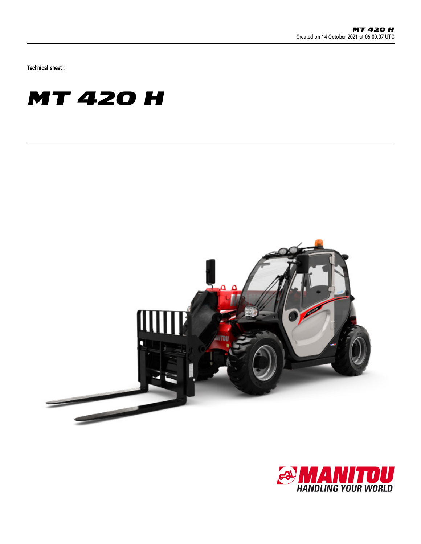Technical sheet :

## **MT 420 H**



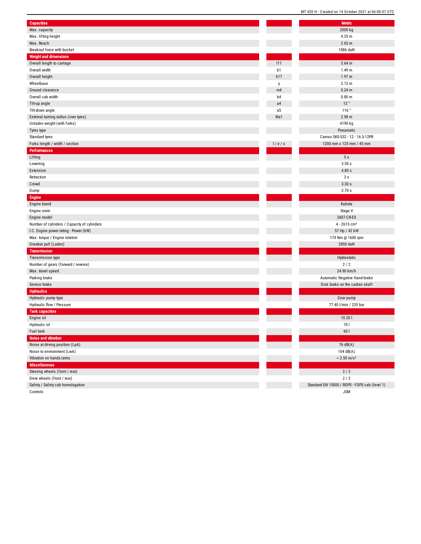|                                             | <b>PICATCA AIL 1 1 A AIR</b> |
|---------------------------------------------|------------------------------|
| <b>Capacities</b>                           | Metric                       |
| Max. capacity                               | 2000 kg                      |
| Max. lifting height                         | 4.35 m                       |
| Max. Reach                                  | 2.65 m                       |
| Breakout force with bucket                  | 1886 dal                     |
| <b>Weight and dimensions</b>                |                              |
| Overall length to carriage                  | $3.64$ m<br>111              |
| Overall width                               | 1.49 <sub>m</sub><br>b1      |
| Overall height                              | 1.97 <sub>m</sub><br>h17     |
| Wheelbase                                   | 2.13 m<br>y                  |
| Ground clearance                            | $0.24$ m<br>m4               |
| Overall cab width                           | 0.80 <sub>m</sub><br>b4      |
| Tilt-up angle                               | 12°<br>a <sub>4</sub>        |
| Tilt-down angle                             | 116°<br>a5                   |
| External turning radius (over tyres)        | 2.98 m<br>Wa1                |
| Unladen weight (with forks)                 | 4190 kg                      |
| Tyres type                                  | Pneumat                      |
| Standard tyres                              | Camso SKS-532 - 12           |
| Forks length / width / section              | 1/e/s<br>1200 mm x 125 m     |
| <b>Performances</b>                         |                              |
| Lifting                                     | 5s                           |
| Lowering                                    | 3.50s                        |
| Extension                                   | 4.80s                        |
| Retraction                                  | 3s                           |
| Crowd                                       | 3.30 s                       |
| Dump                                        | 2.70s                        |
| <b>Engine</b>                               |                              |
| Engine brand                                | Kubota                       |
| Engine norm                                 | Stage V                      |
| Engine model                                | 2607-CR-I                    |
| Number of cylinders / Capacity of cylinders | $4 - 2615c$                  |
| I.C. Engine power rating - Power (kW)       | 57 Hp / 42                   |
| Max. torque / Engine rotation               | 174 Nm @ 16                  |
| Drawbar pull (Laden)                        | 2850 dal                     |
| <b>Transmission</b>                         |                              |
| Transmission type                           | Hydrostat                    |
| Number of gears (forward / reverse)         | 2/2                          |
| Max. travel speed                           | 24.90 km                     |
| Parking brake                               | <b>Automatic Negative</b>    |
| Service brake                               | Disk brake on the c          |
| <b>Hydraulics</b>                           |                              |
| Hydraulic pump type                         | Gear pun                     |
| Hydraulic flow / Pressure                   | 77.40 l/min / 2              |
| <b>Tank capacities</b>                      |                              |
| Engine oil                                  | 10.201                       |
| Hydraulic oil                               | 70 I                         |
| Fuel tank                                   | 60 l                         |
| <b>Noise and vibration</b>                  |                              |
| Noise at driving position (LpA)             | 76 dB(A)                     |
| Noise to environment (LwA)                  | 104 dB(A                     |
| Vibration on hands/arms                     | $< 2.50$ m/                  |
| <b>Miscellaneous</b>                        |                              |
| Steering wheels (front / rear)              | $2/2$                        |
| Drive wheels (front / rear)                 | 2/2                          |
| Safety / Safety cab homologation            | Standard EN 15000 / ROPS     |
|                                             |                              |

Controls

l,

MT 420 H - Created on 14 October 2021 at 06:00:07 UTC Metric

2000 kg

4.3 5 m 2.6 5 m 1 8 8 6 d a N 3.6 4 m 1.4 9 m 1.9 7 m 2.1 3 m 0.2 4 m 0.8 0 m 1 2 ° 1 1 6 ° 2.9 8 m 4190 kg Pneumatic o SKS-532 - 12 - 16.5-12PR 0 mm x 125 mm / 45 mm 5 s 3.5 0 s 4.8 0 s 3 s 3.3 0 s 2.7 0 s Kubota Stage V 607-CR-E5 4 - 2615 cm<sup>3</sup> 5 7 H p / 4 2 k W 174 Nm @ 1600 rpm 2 8 5 0 d a N Hydrostatic 2 / 2 2 4.9 0 k m / h matic Negative Hand-brake brake on the cadran shaft Gear pump 7 7.4 0 l/ min / 2 3 5 b a r 0.2 0 l  $\overline{76 \text{ dB(A)}}$  $104 dB(A)$  $< 2.50$  m/s<sup>2</sup>  $2/2$ 2 / 2 15000 / ROPS - FOPS cab (level 1)

J S M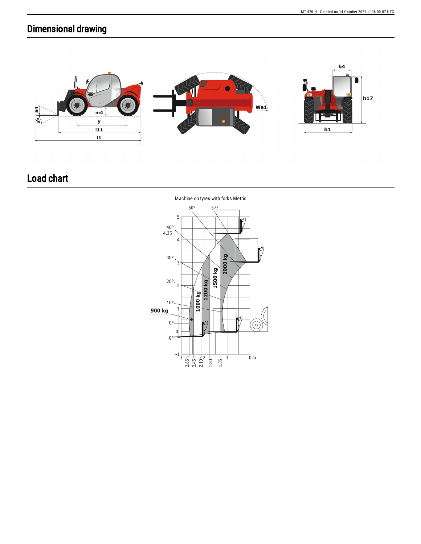## Dimensional drawing



## Load chart